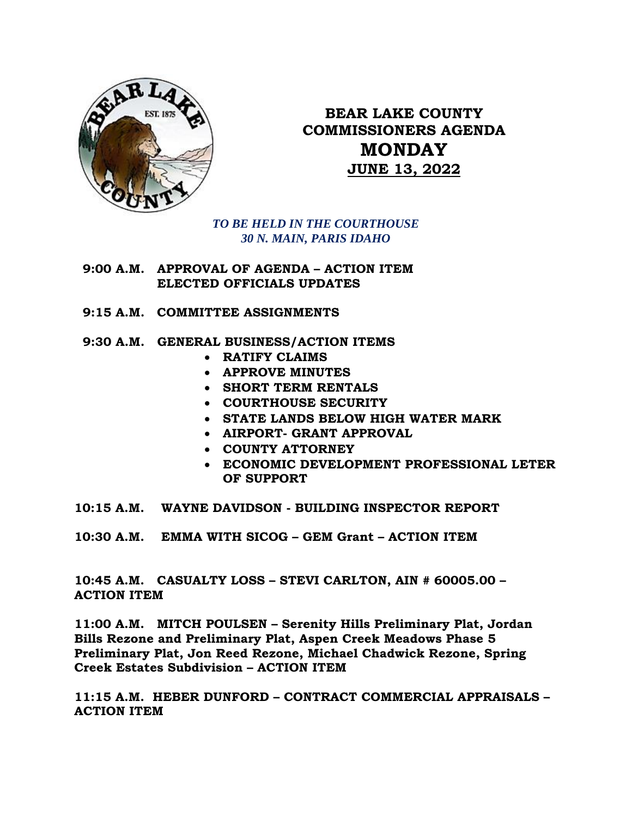

**BEAR LAKE COUNTY COMMISSIONERS AGENDA MONDAY JUNE 13, 2022**

*TO BE HELD IN THE COURTHOUSE 30 N. MAIN, PARIS IDAHO*

- **9:00 A.M. APPROVAL OF AGENDA – ACTION ITEM ELECTED OFFICIALS UPDATES**
- **9:15 A.M. COMMITTEE ASSIGNMENTS**
- **9:30 A.M. GENERAL BUSINESS/ACTION ITEMS**
	- **RATIFY CLAIMS**
	- **APPROVE MINUTES**
	- **SHORT TERM RENTALS**
	- **COURTHOUSE SECURITY**
	- **STATE LANDS BELOW HIGH WATER MARK**
	- **AIRPORT- GRANT APPROVAL**
	- **COUNTY ATTORNEY**
	- **ECONOMIC DEVELOPMENT PROFESSIONAL LETER OF SUPPORT**
- **10:15 A.M. WAYNE DAVIDSON - BUILDING INSPECTOR REPORT**
- **10:30 A.M. EMMA WITH SICOG – GEM Grant – ACTION ITEM 5\*\*12-970-**

**10:45 A.M. CASUALTY LOSS – STEVI CARLTON, AIN # 60005.00 – ACTION ITEM**

**11:00 A.M. MITCH POULSEN – Serenity Hills Preliminary Plat, Jordan Bills Rezone and Preliminary Plat, Aspen Creek Meadows Phase 5 Preliminary Plat, Jon Reed Rezone, Michael Chadwick Rezone, Spring Creek Estates Subdivision – ACTION ITEM**

**11:15 A.M. HEBER DUNFORD – CONTRACT COMMERCIAL APPRAISALS – ACTION ITEM**